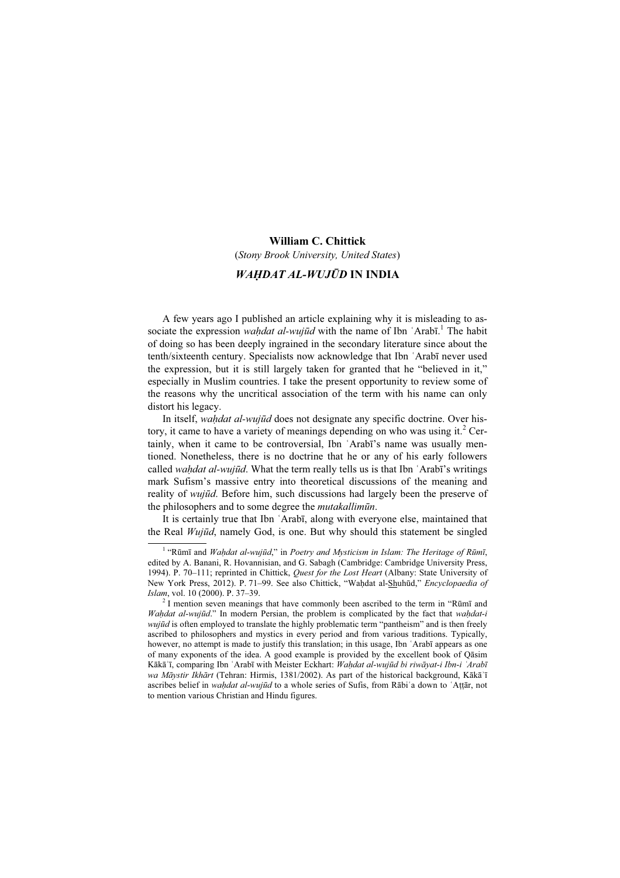## William C. Chittick

(Stony Brook University, United States)

## WAḤDAT AL-WUJŪD IN INDIA

A few years ago I published an article explaining why it is misleading to associate the expression wahdat al-wujūd with the name of Ibn 'Arabī.<sup>1</sup> The habit of doing so has been deeply ingrained in the secondary literature since about the tenth/sixteenth century. Specialists now acknowledge that Ibn ʿArabī never used the expression, but it is still largely taken for granted that he "believed in it," especially in Muslim countries. I take the present opportunity to review some of the reasons why the uncritical association of the term with his name can only distort his legacy.

In itself, wahdat al-wujūd does not designate any specific doctrine. Over history, it came to have a variety of meanings depending on who was using it.<sup>2</sup> Certainly, when it came to be controversial, Ibn ʿArabī's name was usually mentioned. Nonetheless, there is no doctrine that he or any of his early followers called wahdat al-wujūd. What the term really tells us is that Ibn 'Arabī's writings mark Sufism's massive entry into theoretical discussions of the meaning and reality of wujūd. Before him, such discussions had largely been the preserve of the philosophers and to some degree the *mutakallimūn*.

It is certainly true that Ibn ʿArabī, along with everyone else, maintained that the Real Wujūd, namely God, is one. But why should this statement be singled

<sup>&</sup>lt;sup>1</sup> "Rūmī and *Waḥdat al-wujūd,*" in Poetry and Mysticism in Islam: The Heritage of Rūmī, edited by A. Banani, R. Hovannisian, and G. Sabagh (Cambridge: Cambridge University Press, 1994). P. 70–111; reprinted in Chittick, Quest for the Lost Heart (Albany: State University of New York Press, 2012). P. 71–99. See also Chittick, "Waḥdat al-Shuhūd," Encyclopaedia of Islam, vol. 10 (2000). P. 37–39.

 $2^{2}$ I mention seven meanings that have commonly been ascribed to the term in "Rūmī and Waḥdat al-wujūd." In modern Persian, the problem is complicated by the fact that waḥdat-i wujūd is often employed to translate the highly problematic term "pantheism" and is then freely ascribed to philosophers and mystics in every period and from various traditions. Typically, however, no attempt is made to justify this translation; in this usage, Ibn 'Arabī appears as one of many exponents of the idea. A good example is provided by the excellent book of Qāsim Kākā'ī, comparing Ibn ʿArabī with Meister Eckhart: Wahdat al-wujūd bi riwāyat-i Ibn-i ʿArabī wa Māystir Ikhārt (Tehran: Hirmis, 1381/2002). As part of the historical background, Kākā'ī ascribes belief in wahdat al-wujūd to a whole series of Sufis, from Rābi'a down to 'Attār, not to mention various Christian and Hindu figures.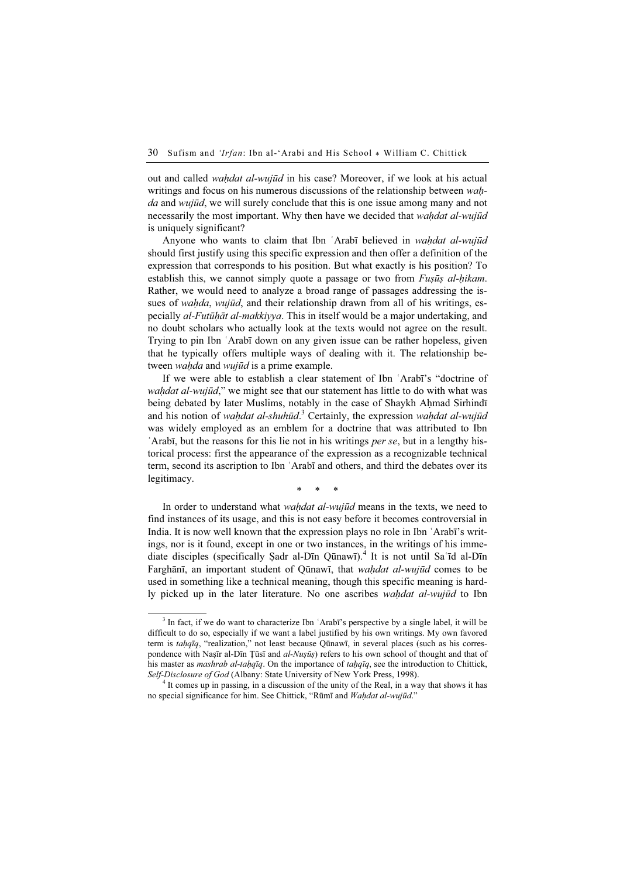out and called *wahdat al-wujūd* in his case? Moreover, if we look at his actual writings and focus on his numerous discussions of the relationship between *wah*da and wujūd, we will surely conclude that this is one issue among many and not necessarily the most important. Why then have we decided that *wahdat al-wujūd* is uniquely significant?

Anyone who wants to claim that Ibn 'Arabī believed in wahdat al-wujūd should first justify using this specific expression and then offer a definition of the expression that corresponds to his position. But what exactly is his position? To establish this, we cannot simply quote a passage or two from *Fusūs al-hikam*. Rather, we would need to analyze a broad range of passages addressing the issues of wahda, wujūd, and their relationship drawn from all of his writings, especially *al-Futūhāt al-makkiyya*. This in itself would be a major undertaking, and no doubt scholars who actually look at the texts would not agree on the result. Trying to pin Ibn ʿArabī down on any given issue can be rather hopeless, given that he typically offers multiple ways of dealing with it. The relationship between *wahda* and *wujūd* is a prime example.

If we were able to establish a clear statement of Ibn ʿArabī's "doctrine of wahdat al-wujūd," we might see that our statement has little to do with what was being debated by later Muslims, notably in the case of Shaykh Ahmad Sirhindī and his notion of waḥdat al-shuhūd.<sup>3</sup> Certainly, the expression waḥdat al-wujūd was widely employed as an emblem for a doctrine that was attributed to Ibn ʿArabī, but the reasons for this lie not in his writings per se, but in a lengthy historical process: first the appearance of the expression as a recognizable technical term, second its ascription to Ibn ʿArabī and others, and third the debates over its legitimacy.

\* \* \*

In order to understand what waḥdat al-wujūd means in the texts, we need to find instances of its usage, and this is not easy before it becomes controversial in India. It is now well known that the expression plays no role in Ibn ʿArabī's writings, nor is it found, except in one or two instances, in the writings of his immediate disciples (specifically Şadr al-Dīn Qūnawī).<sup>4</sup> It is not until Sa'īd al-Dīn Farghānī, an important student of Qūnawī, that *wahdat al-wujūd* comes to be used in something like a technical meaning, though this specific meaning is hardly picked up in the later literature. No one ascribes waḥdat al-wujūd to Ibn

<sup>&</sup>lt;sup>3</sup> In fact, if we do want to characterize Ibn 'Arabī's perspective by a single label, it will be difficult to do so, especially if we want a label justified by his own writings. My own favored term is taḥqīq, "realization," not least because Qūnawī, in several places (such as his correspondence with Naṣīr al-Dīn Țūsī and al-Nuṣūṣ) refers to his own school of thought and that of his master as *mashrab al-taḥqīq*. On the importance of *taḥqīq*, see the introduction to Chittick, Self-Disclosure of God (Albany: State University of New York Press, 1998).

<sup>&</sup>lt;sup>4</sup> It comes up in passing, in a discussion of the unity of the Real, in a way that shows it has no special significance for him. See Chittick, "Rūmī and Waḥdat al-wujūd."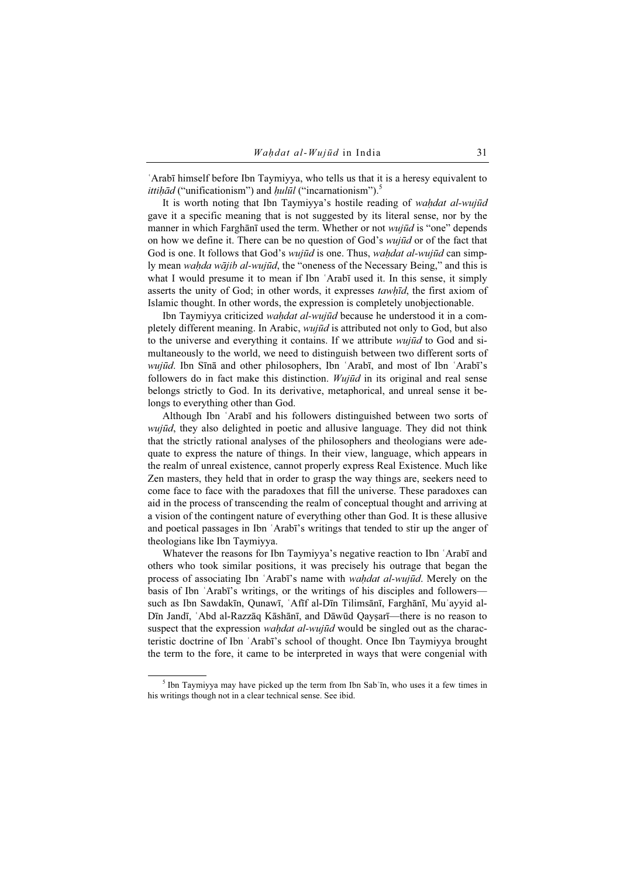ʿArabī himself before Ibn Taymiyya, who tells us that it is a heresy equivalent to *ittiḥād* ("unificationism") and  $hull\bar{u}l$  ("incarnationism").<sup>5</sup>

It is worth noting that Ibn Taymiyya's hostile reading of wahdat al-wujūd gave it a specific meaning that is not suggested by its literal sense, nor by the manner in which Farghānī used the term. Whether or not *wujūd* is "one" depends on how we define it. There can be no question of God's *wujūd* or of the fact that God is one. It follows that God's *wujūd* is one. Thus, *wahdat al-wujūd* can simply mean *wahda wājib al-wujūd*, the "oneness of the Necessary Being," and this is what I would presume it to mean if Ibn 'Arabī used it. In this sense, it simply asserts the unity of God; in other words, it expresses *tawhīd*, the first axiom of Islamic thought. In other words, the expression is completely unobjectionable.

Ibn Taymiyya criticized *wahdat al-wujūd* because he understood it in a completely different meaning. In Arabic, wujūd is attributed not only to God, but also to the universe and everything it contains. If we attribute *wujūd* to God and simultaneously to the world, we need to distinguish between two different sorts of wujūd. Ibn Sīnā and other philosophers, Ibn 'Arabī, and most of Ibn 'Arabī's followers do in fact make this distinction.  $Wui\bar{u}d$  in its original and real sense belongs strictly to God. In its derivative, metaphorical, and unreal sense it belongs to everything other than God.

Although Ibn ʿArabī and his followers distinguished between two sorts of wujūd, they also delighted in poetic and allusive language. They did not think that the strictly rational analyses of the philosophers and theologians were adequate to express the nature of things. In their view, language, which appears in the realm of unreal existence, cannot properly express Real Existence. Much like Zen masters, they held that in order to grasp the way things are, seekers need to come face to face with the paradoxes that fill the universe. These paradoxes can aid in the process of transcending the realm of conceptual thought and arriving at a vision of the contingent nature of everything other than God. It is these allusive and poetical passages in Ibn ʿArabī's writings that tended to stir up the anger of theologians like Ibn Taymiyya.

Whatever the reasons for Ibn Taymiyya's negative reaction to Ibn ʿArabī and others who took similar positions, it was precisely his outrage that began the process of associating Ibn 'Arabī's name with *wahdat al-wujūd*. Merely on the basis of Ibn ʿArabī's writings, or the writings of his disciples and followers such as Ibn Sawdakīn, Qunawī, ʿAfīf al-Dīn Tilimsānī, Farghānī, Muʾayyid al-Dīn Jandī, ʿAbd al-Razzāq Kāshānī, and Dāwūd Qayṣarī—there is no reason to suspect that the expression *wahdat al-wujūd* would be singled out as the characteristic doctrine of Ibn ʿArabī's school of thought. Once Ibn Taymiyya brought the term to the fore, it came to be interpreted in ways that were congenial with

<sup>&</sup>lt;sup>5</sup> Ibn Taymiyya may have picked up the term from Ibn Sab'īn, who uses it a few times in his writings though not in a clear technical sense. See ibid.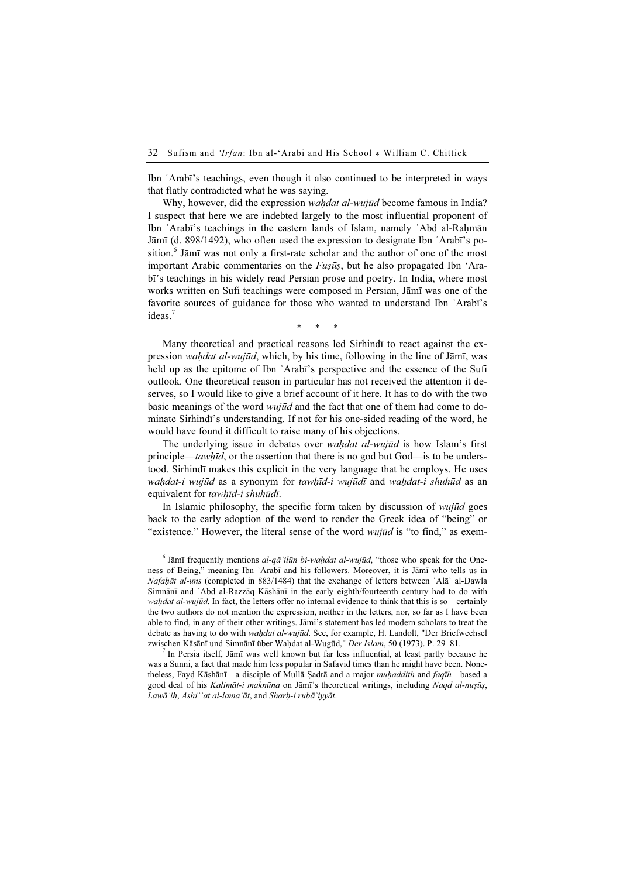Ibn ʿArabī's teachings, even though it also continued to be interpreted in ways that flatly contradicted what he was saying.

Why, however, did the expression wahdat al-wujūd become famous in India? I suspect that here we are indebted largely to the most influential proponent of Ibn 'Arabī's teachings in the eastern lands of Islam, namely 'Abd al-Rahmān Jāmī (d. 898/1492), who often used the expression to designate Ibn ʿArabī's position.<sup>6</sup> Jāmī was not only a first-rate scholar and the author of one of the most important Arabic commentaries on the  $Fus\bar{u}s$ , but he also propagated Ibn 'Arabī's teachings in his widely read Persian prose and poetry. In India, where most works written on Sufi teachings were composed in Persian, Jāmī was one of the favorite sources of guidance for those who wanted to understand Ibn ʿArabī's ideas.<sup>7</sup>

\* \* \*

Many theoretical and practical reasons led Sirhindī to react against the expression *wahdat al-wujūd*, which, by his time, following in the line of Jāmī, was held up as the epitome of Ibn ʿArabī's perspective and the essence of the Sufi outlook. One theoretical reason in particular has not received the attention it deserves, so I would like to give a brief account of it here. It has to do with the two basic meanings of the word *wujūd* and the fact that one of them had come to dominate Sirhindī's understanding. If not for his one-sided reading of the word, he would have found it difficult to raise many of his objections.

The underlying issue in debates over *wahdat al-wujūd* is how Islam's first principle—tawhīd, or the assertion that there is no god but God—is to be understood. Sirhindī makes this explicit in the very language that he employs. He uses wahdat-i wujūd as a synonym for tawhīd-i wujūdī and wahdat-i shuhūd as an equivalent for tawhīd-i shuhūdī.

In Islamic philosophy, the specific form taken by discussion of *wujūd* goes back to the early adoption of the word to render the Greek idea of "being" or "existence." However, the literal sense of the word *wujūd* is "to find," as exem-

 In Persia itself, Jāmī was well known but far less influential, at least partly because he was a Sunni, a fact that made him less popular in Safavid times than he might have been. Nonetheless, Fayd Kāshānī—a disciple of Mullā Sadrā and a major *muḥaddith* and *faqīh*—based a good deal of his Kalimāt-i maknūna on Jāmī's theoretical writings, including Naqd al-nuṣūṣ, Lawāʾiḥ, Ashiʿʿat al-lamaʿāt, and Sharḥ-i rubāʿiyyāt.

 $<sup>6</sup>$  Jāmī frequently mentions *al-qā* 'ilūn bi-waḥdat al-wujūd, "those who speak for the One-</sup> ness of Being," meaning Ibn ʿArabī and his followers. Moreover, it is Jāmī who tells us in Nafaḥāt al-uns (completed in 883/1484) that the exchange of letters between ʿAlāʾ al-Dawla Simnānī and ʿAbd al-Razzāq Kāshānī in the early eighth/fourteenth century had to do with wahdat al-wujūd. In fact, the letters offer no internal evidence to think that this is so—certainly the two authors do not mention the expression, neither in the letters, nor, so far as I have been able to find, in any of their other writings. Jāmī's statement has led modern scholars to treat the debate as having to do with *wahdat al-wujūd*. See, for example, H. Landolt, "Der Briefwechsel zwischen Kāsānī und Simnānī über Waḥdat al-Wugūd," Der Islam, 50 (1973). P. 29-81.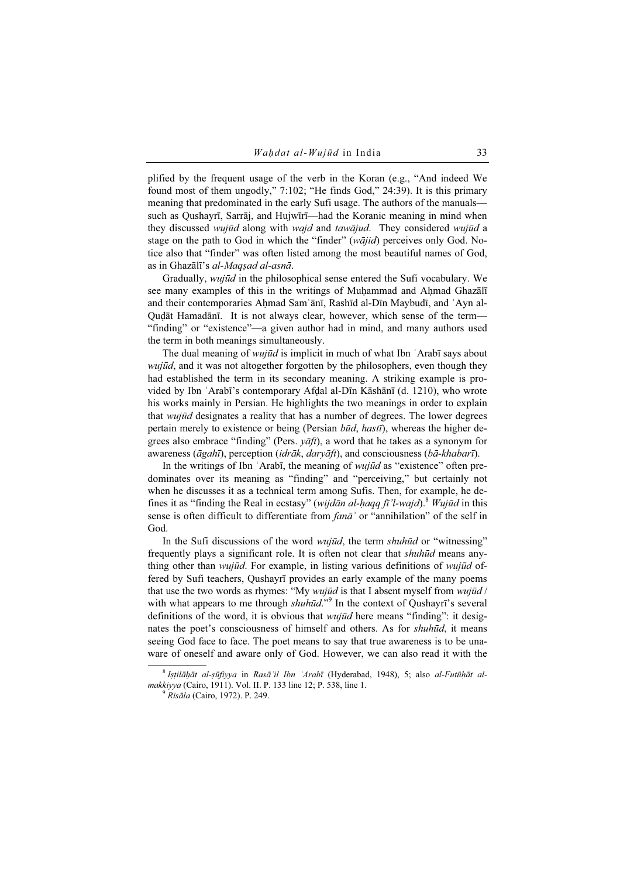plified by the frequent usage of the verb in the Koran (e.g., "And indeed We found most of them ungodly," 7:102; "He finds God," 24:39). It is this primary meaning that predominated in the early Sufi usage. The authors of the manuals such as Qushayrī, Sarrāj, and Hujwīrī—had the Koranic meaning in mind when they discussed *wujūd* along with *wajd* and *tawājud*. They considered *wujūd* a stage on the path to God in which the "finder" (wājid) perceives only God. Notice also that "finder" was often listed among the most beautiful names of God, as in Ghazālī's al-Maqṣad al-asnā.

Gradually, wujūd in the philosophical sense entered the Sufi vocabulary. We see many examples of this in the writings of Muhammad and Ahmad Ghazal and their contemporaries Ahmad Sam'ānī, Rashīd al-Dīn Maybudī, and 'Ayn al-Quḍāt Hamadānī. It is not always clear, however, which sense of the term— "finding" or "existence"—a given author had in mind, and many authors used the term in both meanings simultaneously.

The dual meaning of *wujūd* is implicit in much of what Ibn  $\Delta$ Arabī says about wujūd, and it was not altogether forgotten by the philosophers, even though they had established the term in its secondary meaning. A striking example is provided by Ibn ʿArabī's contemporary Afḍal al-Dīn Kāshānī (d. 1210), who wrote his works mainly in Persian. He highlights the two meanings in order to explain that wujūd designates a reality that has a number of degrees. The lower degrees pertain merely to existence or being (Persian  $b\bar{u}d$ , hast $\bar{u}$ ), whereas the higher degrees also embrace "finding" (Pers.  $\nu \bar{a}f$ ), a word that he takes as a synonym for awareness ( $\bar{a}gah\bar{i}$ ), perception ( $\mathrm{i}d\bar{r}$  ak,  $\mathrm{d}a\bar{r}$ ), and consciousness ( $b\bar{a}$ -khabar $\bar{i}$ ).

In the writings of Ibn 'Arabī, the meaning of *wujūd* as "existence" often predominates over its meaning as "finding" and "perceiving," but certainly not when he discusses it as a technical term among Sufis. Then, for example, he defines it as "finding the Real in ecstasy" (wijdān al-haqq fī'l-wajd).<sup>8</sup> Wujūd in this sense is often difficult to differentiate from fana<sup>'</sup> or "annihilation" of the self in God.

In the Sufi discussions of the word *wujūd*, the term *shuhūd* or "witnessing" frequently plays a significant role. It is often not clear that shuhūd means anything other than *wujūd*. For example, in listing various definitions of *wujūd* offered by Sufi teachers, Qushayrī provides an early example of the many poems that use the two words as rhymes: "My *wujūd* is that I absent myself from *wujūd* / with what appears to me through shuhūd."<sup>9</sup> In the context of Qushayrī's several definitions of the word, it is obvious that *wujūd* here means "finding": it designates the poet's consciousness of himself and others. As for *shuhūd*, it means seeing God face to face. The poet means to say that true awareness is to be unaware of oneself and aware only of God. However, we can also read it with the

 $8$ Istilāḥāt al-sūfiyya in Rasā'il Ibn ʿArabī (Hyderabad, 1948), 5; also al-Futūḥāt almakkiyya (Cairo, 1911). Vol. II. P. 133 line 12; P. 538, line 1.<br><sup>9</sup> Risāla (Cairo, 1972). P. 249.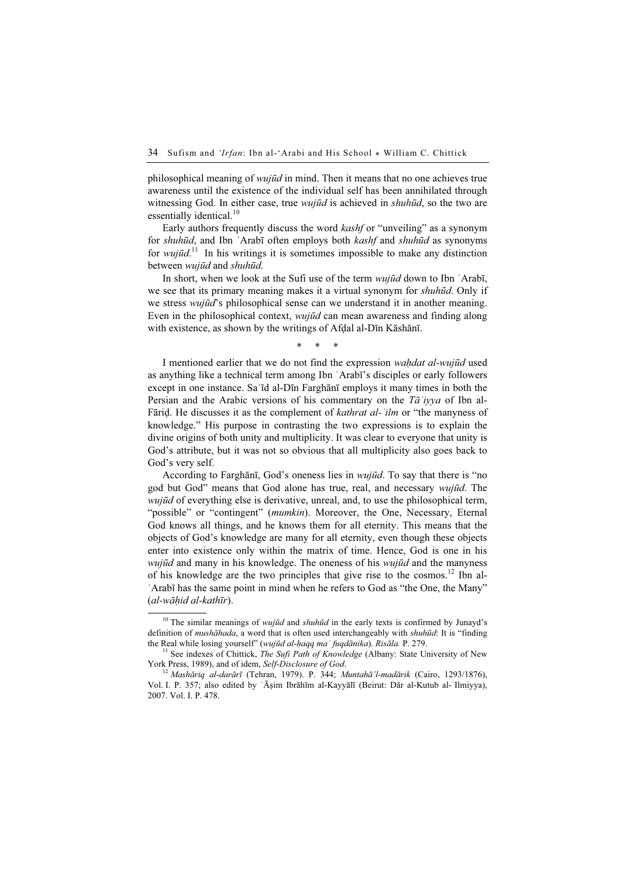philosophical meaning of wujūd in mind. Then it means that no one achieves true awareness until the existence of the individual self has been annihilated through witnessing God. In either case, true *wujūd* is achieved in *shuhūd*, so the two are essentially identical.<sup>10</sup>

Early authors frequently discuss the word kashf or "unveiling" as a synonym for shuhūd, and Ibn ʿArabī often employs both kashf and shuhūd as synonyms for wujūd.<sup>11</sup> In his writings it is sometimes impossible to make any distinction between wujūd and shuhūd.

In short, when we look at the Sufi use of the term *wujūd* down to Ibn 'Arabī, we see that its primary meaning makes it a virtual synonym for *shuhūd*. Only if we stress *wujūd*'s philosophical sense can we understand it in another meaning. Even in the philosophical context, *wujūd* can mean awareness and finding along with existence, as shown by the writings of Afḍal al-Dīn Kāshānī.

\* \* \*

I mentioned earlier that we do not find the expression wahdat al-wujūd used as anything like a technical term among Ibn ʿArabī's disciples or early followers except in one instance. Saʿīd al-Dīn Farghānī employs it many times in both the Persian and the Arabic versions of his commentary on the  $T\bar{a}$ 'iyya of Ibn al-Fārid. He discusses it as the complement of *kathrat al-* '*ilm* or "the manyness of knowledge." His purpose in contrasting the two expressions is to explain the divine origins of both unity and multiplicity. It was clear to everyone that unity is God's attribute, but it was not so obvious that all multiplicity also goes back to God's very self.

According to Farghānī, God's oneness lies in wujūd. To say that there is "no god but God" means that God alone has true, real, and necessary wujūd. The wujūd of everything else is derivative, unreal, and, to use the philosophical term, "possible" or "contingent" (*mumkin*). Moreover, the One, Necessary, Eternal God knows all things, and he knows them for all eternity. This means that the objects of God's knowledge are many for all eternity, even though these objects enter into existence only within the matrix of time. Hence, God is one in his *wujūd* and many in his knowledge. The oneness of his *wujūd* and the manyness of his knowledge are the two principles that give rise to the cosmos.<sup>12</sup> Ibn al-ʿArabī has the same point in mind when he refers to God as "the One, the Many" (al-wāḥid al-kathīr).

<sup>&</sup>lt;sup>10</sup> The similar meanings of *wujūd* and *shuhūd* in the early texts is confirmed by Junayd's definition of mushāhada, a word that is often used interchangeably with shuhūd: It is "finding

the Real while losing yourself" (wujūd al-ḥaqq maʿ fuqdānika). Risāla. P. 279.<br><sup>11</sup> See indexes of Chittick, *The Sufi Path of Knowledge* (Albany: State University of New<br>York Press, 1989), and of idem, *Self-Disclosure of* 

<sup>&</sup>lt;sup>12</sup> Mashāriq al-darārī (Tehran, 1979). P. 344; Muntahā'l-madārik (Cairo, 1293/1876), Vol. I. P. 357; also edited by ʿĀṣim Ibrāhīm al-Kayyālī (Beirut: Dār al-Kutub al-ʿIlmiyya), 2007. Vol. I. P. 478.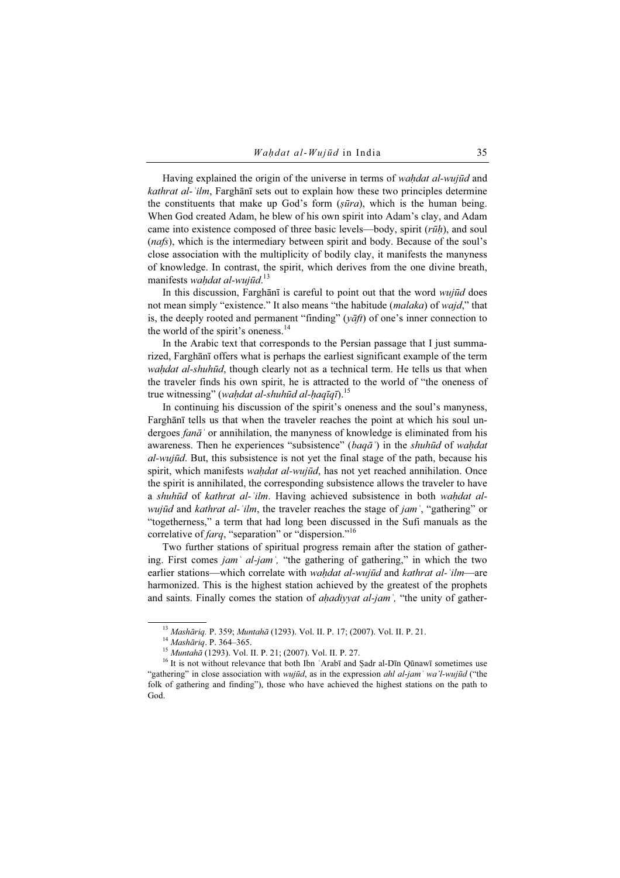Having explained the origin of the universe in terms of *wahdat al-wujūd* and kathrat al-'ilm, Farghānī sets out to explain how these two principles determine the constituents that make up God's form  $(s\bar{u}ra)$ , which is the human being. When God created Adam, he blew of his own spirit into Adam's clay, and Adam came into existence composed of three basic levels—body, spirit  $(r\bar{u}h)$ , and soul (nafs), which is the intermediary between spirit and body. Because of the soul's close association with the multiplicity of bodily clay, it manifests the manyness of knowledge. In contrast, the spirit, which derives from the one divine breath, manifests waḥdat al-wujūd.<sup>13</sup>

In this discussion, Farghānī is careful to point out that the word wujūd does not mean simply "existence." It also means "the habitude *(malaka)* of *wajd*," that is, the deeply rooted and permanent "finding" ( $v\bar{a}ft$ ) of one's inner connection to the world of the spirit's oneness.<sup>14</sup>

In the Arabic text that corresponds to the Persian passage that I just summarized, Farghānī offers what is perhaps the earliest significant example of the term wahdat al-shuhūd, though clearly not as a technical term. He tells us that when the traveler finds his own spirit, he is attracted to the world of "the oneness of true witnessing" (wahdat al-shuhūd al-haqīqī).<sup>15</sup>

In continuing his discussion of the spirit's oneness and the soul's manyness, Farghānī tells us that when the traveler reaches the point at which his soul undergoes  $fan\bar{a}$  ' or annihilation, the manyness of knowledge is eliminated from his awareness. Then he experiences "subsistence" (baq $\bar{a}$ ) in the *shuhūd* of *wahdat* al-wujūd. But, this subsistence is not yet the final stage of the path, because his spirit, which manifests *waḥdat al-wujūd*, has not yet reached annihilation. Once the spirit is annihilated, the corresponding subsistence allows the traveler to have a shuhūd of kathrat al-'ilm. Having achieved subsistence in both wahdat al*wujūd* and *kathrat al-*  $ilm$ , the traveler reaches the stage of *jam*  $\cdot$  "gathering" or "togetherness," a term that had long been discussed in the Sufi manuals as the correlative of *farq*, "separation" or "dispersion."<sup>16</sup>

Two further stations of spiritual progress remain after the station of gathering. First comes  $jam<sup>3</sup>$  al-jam<sup>5</sup>, "the gathering of gathering," in which the two earlier stations—which correlate with *waḥdat al-wujūd* and *kathrat al-`ilm*—are harmonized. This is the highest station achieved by the greatest of the prophets and saints. Finally comes the station of *ahadiyyat al-jam*<sup>'</sup>, "the unity of gather-

<sup>&</sup>lt;sup>13</sup> Mashāriq. P. 359; Muntahā (1293). Vol. II. P. 17; (2007). Vol. II. P. 21.<br><sup>14</sup> Mashāriq. P. 364–365.<br><sup>15</sup> Muntahā (1293). Vol. II. P. 21; (2007). Vol. II. P. 27.<br><sup>16</sup> It is not without relevance that both Ibn 'Arabī "gathering" in close association with *wujūd*, as in the expression *ahl al-jam* 'wa'l-wujūd ("the folk of gathering and finding"), those who have achieved the highest stations on the path to God.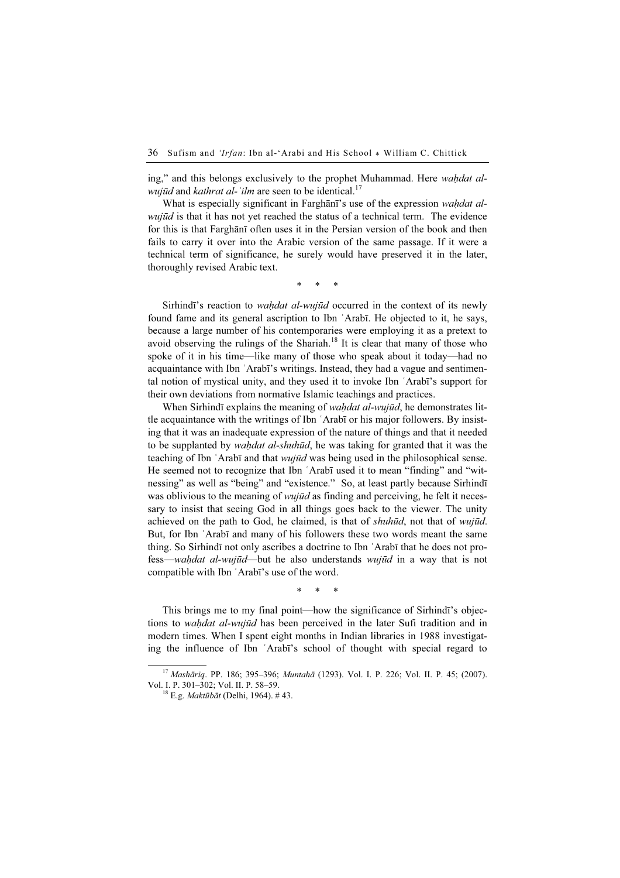ing," and this belongs exclusively to the prophet Muhammad. Here *wahdat alwujūd* and *kathrat al-* '*ilm* are seen to be identical.<sup>17</sup>

What is especially significant in Farghan<sup>7</sup>'s use of the expression *wahdat al*wujūd is that it has not yet reached the status of a technical term. The evidence for this is that Farghānī often uses it in the Persian version of the book and then fails to carry it over into the Arabic version of the same passage. If it were a technical term of significance, he surely would have preserved it in the later, thoroughly revised Arabic text.

\* \* \*

Sirhindī's reaction to *wahdat al-wujūd* occurred in the context of its newly found fame and its general ascription to Ibn ʿArabī. He objected to it, he says, because a large number of his contemporaries were employing it as a pretext to avoid observing the rulings of the Shariah.<sup>18</sup> It is clear that many of those who spoke of it in his time—like many of those who speak about it today—had no acquaintance with Ibn ʿArabī's writings. Instead, they had a vague and sentimental notion of mystical unity, and they used it to invoke Ibn ʿArabī's support for their own deviations from normative Islamic teachings and practices.

When Sirhindī explains the meaning of *wahdat al-wujūd*, he demonstrates little acquaintance with the writings of Ibn ʿArabī or his major followers. By insisting that it was an inadequate expression of the nature of things and that it needed to be supplanted by *waḥdat al-shuhūd*, he was taking for granted that it was the teaching of Ibn 'Arabī and that *wujūd* was being used in the philosophical sense. He seemed not to recognize that Ibn ʿArabī used it to mean "finding" and "witnessing" as well as "being" and "existence." So, at least partly because Sirhindī was oblivious to the meaning of *wujūd* as finding and perceiving, he felt it necessary to insist that seeing God in all things goes back to the viewer. The unity achieved on the path to God, he claimed, is that of shuhūd, not that of wujūd. But, for Ibn ʿArabī and many of his followers these two words meant the same thing. So Sirhindī not only ascribes a doctrine to Ibn ʿArabī that he does not profess—waḥdat al-wujūd—but he also understands wujūd in a way that is not compatible with Ibn ʿArabī's use of the word.

\* \* \*

This brings me to my final point—how the significance of Sirhindī's objections to *wahdat al-wujūd* has been perceived in the later Sufi tradition and in modern times. When I spent eight months in Indian libraries in 1988 investigating the influence of Ibn ʿArabī's school of thought with special regard to

<sup>&</sup>lt;sup>17</sup> Mashāriq. PP. 186; 395-396; Muntahā (1293). Vol. I. P. 226; Vol. II. P. 45; (2007). Vol. I. P. 301–302; Vol. II. P. 58–59. <sup>18</sup> E.g. Maktūbāt (Delhi, 1964). # 43.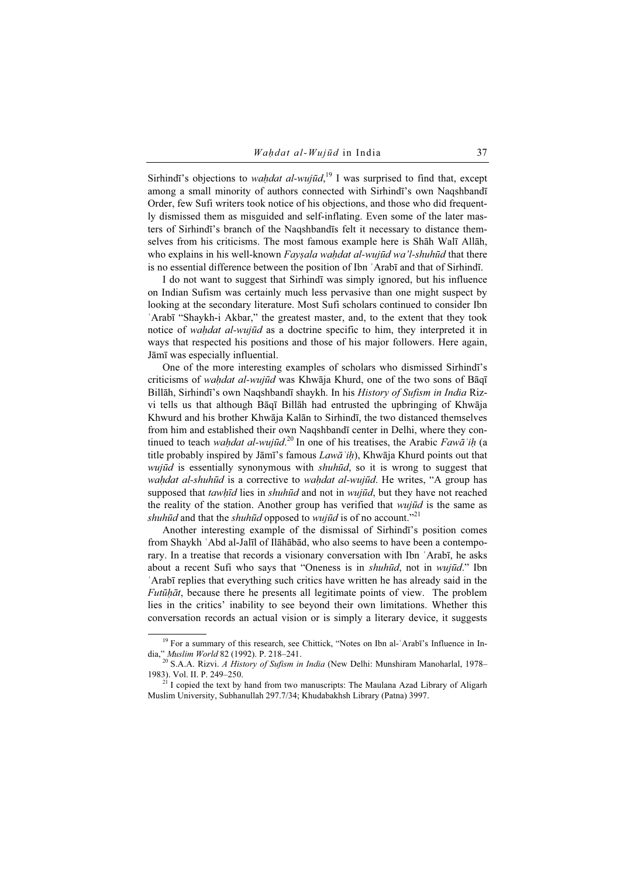Sirhindī's objections to *waḥdat al-wujūd*,<sup>19</sup> I was surprised to find that, except among a small minority of authors connected with Sirhindī's own Naqshbandī Order, few Sufi writers took notice of his objections, and those who did frequently dismissed them as misguided and self-inflating. Even some of the later masters of Sirhindī's branch of the Naqshbandīs felt it necessary to distance themselves from his criticisms. The most famous example here is Shāh Walī Allāh, who explains in his well-known Faysala wahdat al-wujūd wa'l-shuhūd that there is no essential difference between the position of Ibn ʿArabī and that of Sirhindī.

I do not want to suggest that Sirhindī was simply ignored, but his influence on Indian Sufism was certainly much less pervasive than one might suspect by looking at the secondary literature. Most Sufi scholars continued to consider Ibn ʿArabī "Shaykh-i Akbar," the greatest master, and, to the extent that they took notice of *wahdat al-wujūd* as a doctrine specific to him, they interpreted it in ways that respected his positions and those of his major followers. Here again, Jāmī was especially influential.

One of the more interesting examples of scholars who dismissed Sirhindī's criticisms of wahdat al-wujūd was Khwāja Khurd, one of the two sons of Bāqī Billāh, Sirhindī's own Naqshbandī shaykh. In his History of Sufism in India Rizvi tells us that although Bāqī Billāh had entrusted the upbringing of Khwāja Khwurd and his brother Khwāja Kalān to Sirhindī, the two distanced themselves from him and established their own Naqshbandī center in Delhi, where they continued to teach waḥdat al-wujūd.<sup>20</sup> In one of his treatises, the Arabic Fawa<sup>'</sup>ih (a title probably inspired by Jāmī's famous  $Law\bar{a}$ <sup>'</sup>ih), Khwāja Khurd points out that wujūd is essentially synonymous with *shuhūd*, so it is wrong to suggest that wahdat al-shuhūd is a corrective to wahdat al-wujūd. He writes, "A group has supposed that tawhīd lies in shuhūd and not in wujūd, but they have not reached the reality of the station. Another group has verified that *wujūd* is the same as shuhūd and that the shuhūd opposed to wujūd is of no account."<sup>21</sup>

Another interesting example of the dismissal of Sirhindī's position comes from Shaykh ʿAbd al-Jalīl of Ilāhābād, who also seems to have been a contemporary. In a treatise that records a visionary conversation with Ibn ʿArabī, he asks about a recent Sufi who says that "Oneness is in *shuhūd*, not in *wujūd.*" Ibn ʿArabī replies that everything such critics have written he has already said in the Futūḥāt, because there he presents all legitimate points of view. The problem lies in the critics' inability to see beyond their own limitations. Whether this conversation records an actual vision or is simply a literary device, it suggests

<sup>&</sup>lt;sup>19</sup> For a summary of this research, see Chittick, "Notes on Ibn al-'Arabī's Influence in India," Muslim World 82 (1992). P. 218–241.<br><sup>20</sup> S.A.A. Rizvi. *A History of Sufism in India* (New Delhi: Munshiram Manoharlal, 1978–

<sup>1983).</sup> Vol. II. P. 249–250.<br><sup>21</sup> I copied the text by hand from two manuscripts: The Maulana Azad Library of Aligarh Muslim University, Subhanullah 297.7/34; Khudabakhsh Library (Patna) 3997.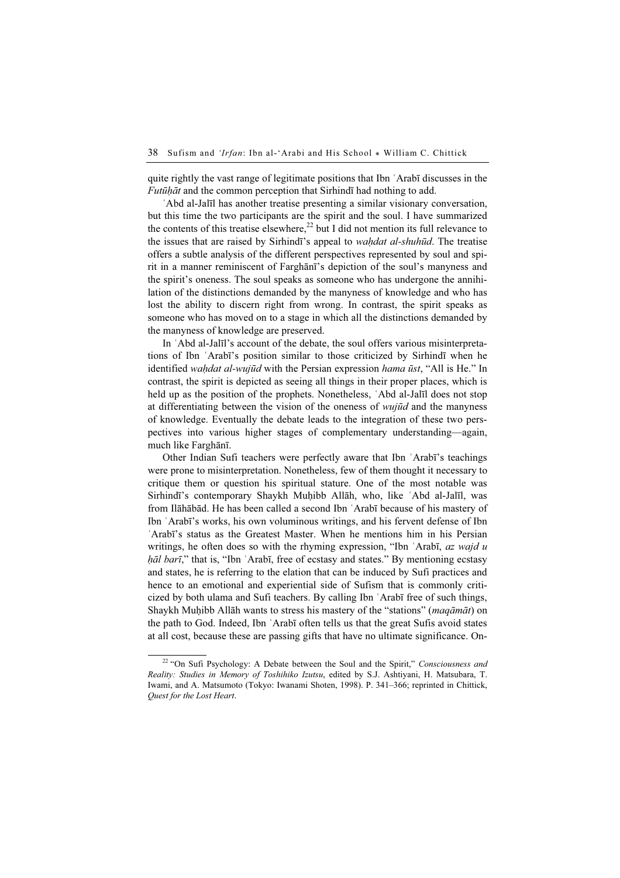quite rightly the vast range of legitimate positions that Ibn ʿArabī discusses in the Futūḥāt and the common perception that Sirhindī had nothing to add.

ʿAbd al-Jalīl has another treatise presenting a similar visionary conversation, but this time the two participants are the spirit and the soul. I have summarized the contents of this treatise elsewhere,<sup>22</sup> but I did not mention its full relevance to the issues that are raised by Sirhindī's appeal to *wahdat al-shuhūd*. The treatise offers a subtle analysis of the different perspectives represented by soul and spirit in a manner reminiscent of Farghānī's depiction of the soul's manyness and the spirit's oneness. The soul speaks as someone who has undergone the annihilation of the distinctions demanded by the manyness of knowledge and who has lost the ability to discern right from wrong. In contrast, the spirit speaks as someone who has moved on to a stage in which all the distinctions demanded by the manyness of knowledge are preserved.

In ʿAbd al-Jalīl's account of the debate, the soul offers various misinterpretations of Ibn ʿArabī's position similar to those criticized by Sirhindī when he identified wahdat al-wujūd with the Persian expression hama ūst, "All is He." In contrast, the spirit is depicted as seeing all things in their proper places, which is held up as the position of the prophets. Nonetheless, ʿAbd al-Jalīl does not stop at differentiating between the vision of the oneness of *wujūd* and the manyness of knowledge. Eventually the debate leads to the integration of these two perspectives into various higher stages of complementary understanding—again, much like Farghānī.

Other Indian Sufi teachers were perfectly aware that Ibn ʿArabī's teachings were prone to misinterpretation. Nonetheless, few of them thought it necessary to critique them or question his spiritual stature. One of the most notable was Sirhindī's contemporary Shaykh Muḥibb Allāh, who, like ʿAbd al-Jalīl, was from Ilāhābād. He has been called a second Ibn ʿArabī because of his mastery of Ibn ʿArabī's works, his own voluminous writings, and his fervent defense of Ibn ʿArabī's status as the Greatest Master. When he mentions him in his Persian writings, he often does so with the rhyming expression, "Ibn 'Arabī, az wajd u hal barī," that is, "Ibn 'Arabī, free of ecstasy and states." By mentioning ecstasy and states, he is referring to the elation that can be induced by Sufi practices and hence to an emotional and experiential side of Sufism that is commonly criticized by both ulama and Sufi teachers. By calling Ibn ʿArabī free of such things, Shaykh Muhibb Allāh wants to stress his mastery of the "stations" (*maqāmāt*) on the path to God. Indeed, Ibn ʿArabī often tells us that the great Sufis avoid states at all cost, because these are passing gifts that have no ultimate significance. On-

<sup>&</sup>lt;sup>22</sup> "On Sufi Psychology: A Debate between the Soul and the Spirit," Consciousness and Reality: Studies in Memory of Toshihiko Izutsu, edited by S.J. Ashtiyani, H. Matsubara, T. Iwami, and A. Matsumoto (Tokyo: Iwanami Shoten, 1998). P. 341–366; reprinted in Chittick, Quest for the Lost Heart.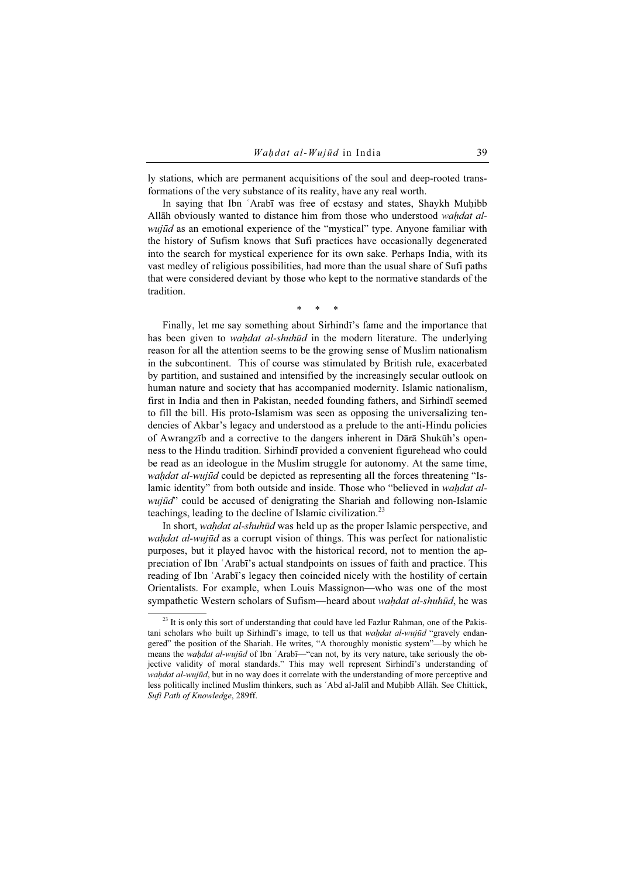ly stations, which are permanent acquisitions of the soul and deep-rooted transformations of the very substance of its reality, have any real worth.

In saying that Ibn ʿArabī was free of ecstasy and states, Shaykh Muḥibb Allāh obviously wanted to distance him from those who understood wahdat alwujūd as an emotional experience of the "mystical" type. Anyone familiar with the history of Sufism knows that Sufi practices have occasionally degenerated into the search for mystical experience for its own sake. Perhaps India, with its vast medley of religious possibilities, had more than the usual share of Sufi paths that were considered deviant by those who kept to the normative standards of the tradition.

\* \* \*

Finally, let me say something about Sirhindī's fame and the importance that has been given to *waḥdat al-shuhūd* in the modern literature. The underlying reason for all the attention seems to be the growing sense of Muslim nationalism in the subcontinent. This of course was stimulated by British rule, exacerbated by partition, and sustained and intensified by the increasingly secular outlook on human nature and society that has accompanied modernity. Islamic nationalism, first in India and then in Pakistan, needed founding fathers, and Sirhindī seemed to fill the bill. His proto-Islamism was seen as opposing the universalizing tendencies of Akbar's legacy and understood as a prelude to the anti-Hindu policies of Awrangzīb and a corrective to the dangers inherent in Dārā Shukūh's openness to the Hindu tradition. Sirhindī provided a convenient figurehead who could be read as an ideologue in the Muslim struggle for autonomy. At the same time, wahdat al-wujūd could be depicted as representing all the forces threatening "Islamic identity" from both outside and inside. Those who "believed in *waḥdat al* $wui\bar{u}d$ " could be accused of denigrating the Shariah and following non-Islamic teachings, leading to the decline of Islamic civilization.<sup>23</sup>

In short, waḥdat al-shuhūd was held up as the proper Islamic perspective, and wahdat al-wujūd as a corrupt vision of things. This was perfect for nationalistic purposes, but it played havoc with the historical record, not to mention the appreciation of Ibn ʿArabī's actual standpoints on issues of faith and practice. This reading of Ibn ʿArabī's legacy then coincided nicely with the hostility of certain Orientalists. For example, when Louis Massignon—who was one of the most sympathetic Western scholars of Sufism—heard about wahdat al-shuhūd, he was

<sup>&</sup>lt;sup>23</sup> It is only this sort of understanding that could have led Fazlur Rahman, one of the Pakistani scholars who built up Sirhindī's image, to tell us that *wahdat al-wujūd* "gravely endangered" the position of the Shariah. He writes, "A thoroughly monistic system"—by which he means the *wahdat al-wujūd* of Ibn 'Arabī—"can not, by its very nature, take seriously the objective validity of moral standards." This may well represent Sirhindī's understanding of wahdat al-wujūd, but in no way does it correlate with the understanding of more perceptive and less politically inclined Muslim thinkers, such as ʿAbd al-Jalīl and Muḥibb Allāh. See Chittick, Sufi Path of Knowledge, 289ff.